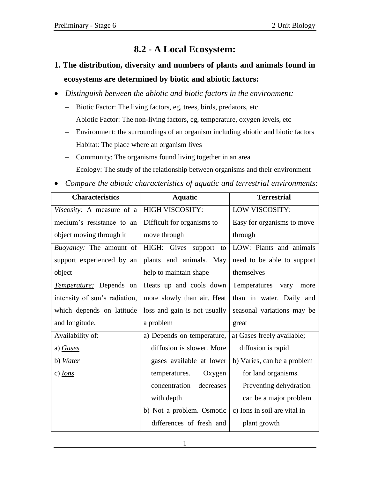## **8.2 - A Local Ecosystem:**

## **1. The distribution, diversity and numbers of plants and animals found in ecosystems are determined by biotic and abiotic factors:**

- *Distinguish between the abiotic and biotic factors in the environment:*
	- Biotic Factor: The living factors, eg, trees, birds, predators, etc
	- Abiotic Factor: The non-living factors, eg, temperature, oxygen levels, etc
	- Environment: the surroundings of an organism including abiotic and biotic factors
	- Habitat: The place where an organism lives
	- Community: The organisms found living together in an area
	- Ecology: The study of the relationship between organisms and their environment
- *Compare the abiotic characteristics of aquatic and terrestrial environments:*

| <b>Characteristics</b>         | <b>Aquatic</b>               | <b>Terrestrial</b>           |  |
|--------------------------------|------------------------------|------------------------------|--|
| Viscosity: A measure of a      | HIGH VISCOSITY:              | <b>LOW VISCOSITY:</b>        |  |
| medium's resistance to an      | Difficult for organisms to   | Easy for organisms to move   |  |
| object moving through it       | move through                 | through                      |  |
| <i>Buoyancy:</i> The amount of | HIGH: Gives support to       | LOW: Plants and animals      |  |
| support experienced by an      | plants and animals. May      | need to be able to support   |  |
| object                         | help to maintain shape       | themselves                   |  |
| Temperature: Depends on        | Heats up and cools down      | Temperatures<br>vary<br>more |  |
| intensity of sun's radiation,  | more slowly than air. Heat   | than in water. Daily and     |  |
| which depends on latitude      | loss and gain is not usually | seasonal variations may be   |  |
| and longitude.                 | a problem                    | great                        |  |
| Availability of:               | a) Depends on temperature,   | a) Gases freely available;   |  |
| a) Gases                       | diffusion is slower. More    | diffusion is rapid           |  |
| b) Water                       | gases available at lower     | b) Varies, can be a problem  |  |
| c) <u>Ions</u>                 | Oxygen<br>temperatures.      | for land organisms.          |  |
|                                | concentration<br>decreases   | Preventing dehydration       |  |
|                                | with depth                   | can be a major problem       |  |
|                                | b) Not a problem. Osmotic    | c) Ions in soil are vital in |  |
|                                | differences of fresh and     | plant growth                 |  |

1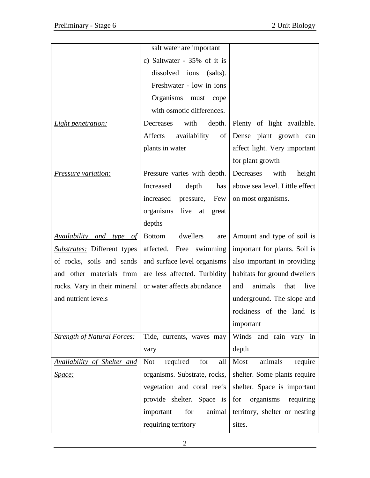|                                    | salt water are important              |                                   |
|------------------------------------|---------------------------------------|-----------------------------------|
|                                    | c) Saltwater - 35% of it is           |                                   |
|                                    | dissolved ions<br>(salts).            |                                   |
|                                    | Freshwater - low in ions              |                                   |
|                                    | Organisms must cope                   |                                   |
|                                    | with osmotic differences.             |                                   |
| Light penetration:                 | with<br>Decreases                     | depth. Plenty of light available. |
|                                    | availability<br>Affects<br>of         | Dense plant growth can            |
|                                    | plants in water                       | affect light. Very important      |
|                                    |                                       | for plant growth                  |
| <i>Pressure variation:</i>         | Pressure varies with depth. Decreases | with<br>height                    |
|                                    | Increased<br>depth<br>has             | above sea level. Little effect    |
|                                    | pressure, Few<br>increased            | on most organisms.                |
|                                    | organisms<br>live<br>at<br>great      |                                   |
|                                    | depths                                |                                   |
| Availability and type of           | dwellers<br><b>Bottom</b><br>are      | Amount and type of soil is        |
| <b>Substrates:</b> Different types | affected. Free swimming               | important for plants. Soil is     |
| of rocks, soils and sands          | and surface level organisms           | also important in providing       |
| and other materials from           | are less affected. Turbidity          | habitats for ground dwellers      |
| rocks. Vary in their mineral       | or water affects abundance            | animals<br>live<br>that<br>and    |
| and nutrient levels                |                                       | underground. The slope and        |
|                                    |                                       | rockiness of the land is          |
|                                    |                                       | important                         |
| <b>Strength of Natural Forces:</b> | Tide, currents, waves may             | Winds and rain vary in            |
|                                    | vary                                  | depth                             |
| <b>Availability of Shelter and</b> | required<br><b>Not</b><br>for<br>all  | animals<br>Most<br>require        |
| <u>Space:</u>                      | organisms. Substrate, rocks,          | shelter. Some plants require      |
|                                    | vegetation and coral reefs            | shelter. Space is important       |
|                                    | provide shelter. Space is             | for<br>organisms<br>requiring     |
|                                    | important<br>for<br>animal            | territory, shelter or nesting     |
|                                    | requiring territory                   | sites.                            |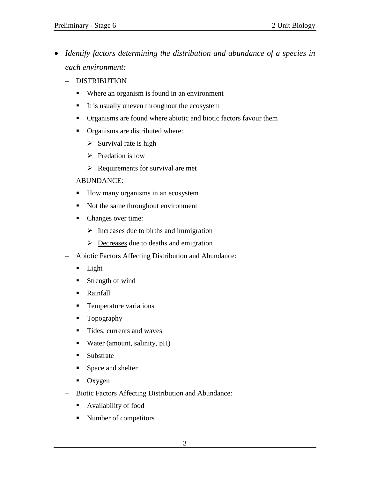- *Identify factors determining the distribution and abundance of a species in each environment:*
	- DISTRIBUTION
		- Where an organism is found in an environment
		- It is usually uneven throughout the ecosystem
		- Organisms are found where abiotic and biotic factors favour them
		- Organisms are distributed where:
			- $\triangleright$  Survival rate is high
			- $\triangleright$  Predation is low
			- $\triangleright$  Requirements for survival are met
	- ABUNDANCE:
		- How many organisms in an ecosystem
		- Not the same throughout environment
		- Changes over time:
			- $\triangleright$  Increases due to births and immigration
			- $\triangleright$  Decreases due to deaths and emigration
	- Abiotic Factors Affecting Distribution and Abundance:
		- **Light**
		- **Strength of wind**
		- **Rainfall**
		- **Temperature variations**
		- **Topography**
		- Tides, currents and waves
		- Water (amount, salinity, pH)
		- **Substrate**
		- **Space and shelter**
		- $\bullet$  Oxygen
	- Biotic Factors Affecting Distribution and Abundance:
		- Availability of food
		- Number of competitors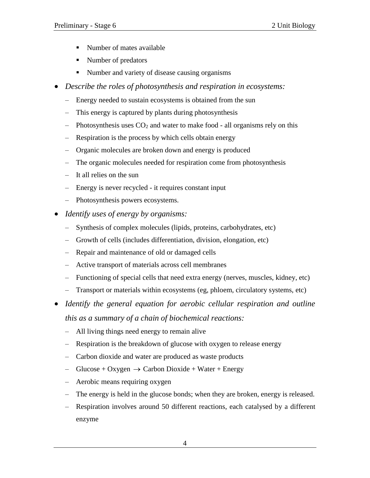- Number of mates available
- Number of predators
- Number and variety of disease causing organisms
- *Describe the roles of photosynthesis and respiration in ecosystems:*
	- Energy needed to sustain ecosystems is obtained from the sun
	- This energy is captured by plants during photosynthesis
	- Photosynthesis uses  $CO<sub>2</sub>$  and water to make food all organisms rely on this
	- Respiration is the process by which cells obtain energy
	- Organic molecules are broken down and energy is produced
	- The organic molecules needed for respiration come from photosynthesis
	- It all relies on the sun
	- Energy is never recycled it requires constant input
	- Photosynthesis powers ecosystems.
- *Identify uses of energy by organisms:*
	- Synthesis of complex molecules (lipids, proteins, carbohydrates, etc)
	- Growth of cells (includes differentiation, division, elongation, etc)
	- Repair and maintenance of old or damaged cells
	- Active transport of materials across cell membranes
	- Functioning of special cells that need extra energy (nerves, muscles, kidney, etc)
	- Transport or materials within ecosystems (eg, phloem, circulatory systems, etc)
- *Identify the general equation for aerobic cellular respiration and outline this as a summary of a chain of biochemical reactions:*
	- All living things need energy to remain alive
	- Respiration is the breakdown of glucose with oxygen to release energy
	- Carbon dioxide and water are produced as waste products
	- $-$  Glucose + Oxygen  $\rightarrow$  Carbon Dioxide + Water + Energy
	- Aerobic means requiring oxygen
	- The energy is held in the glucose bonds; when they are broken, energy is released.
	- Respiration involves around 50 different reactions, each catalysed by a different enzyme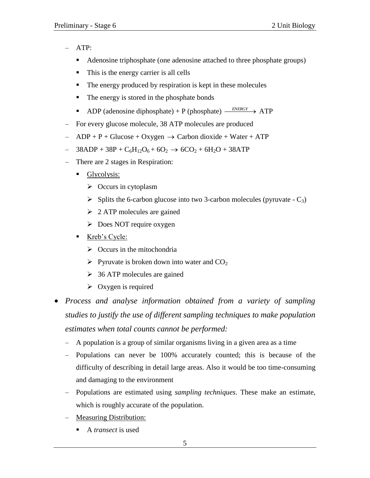- ATP:
	- Adenosine triphosphate (one adenosine attached to three phosphate groups)
	- This is the energy carrier is all cells
	- The energy produced by respiration is kept in these molecules
	- The energy is stored in the phosphate bonds
	- ADP (adenosine diphosphate) + P (phosphate)  $\xrightarrow{ENERGY}$  ATP
- For every glucose molecule, 38 ATP molecules are produced
- $-$  ADP + P + Glucose + Oxygen  $\rightarrow$  Carbon dioxide + Water + ATP
- $-$  38ADP + 38P + C<sub>6</sub>H<sub>12</sub>O<sub>6</sub> + 6O<sub>2</sub>  $\rightarrow$  6CO<sub>2</sub> + 6H<sub>2</sub>O + 38ATP
- There are 2 stages in Respiration:
	- **Glycolysis:** 
		- $\triangleright$  Occurs in cytoplasm
		- $\triangleright$  Splits the 6-carbon glucose into two 3-carbon molecules (pyruvate C<sub>3</sub>)
		- $\geq 2$  ATP molecules are gained
		- $\triangleright$  Does NOT require oxygen
	- $\blacksquare$  Kreb's Cycle:
		- $\triangleright$  Occurs in the mitochondria
		- $\triangleright$  Pyruvate is broken down into water and CO<sub>2</sub>
		- $\geq$  36 ATP molecules are gained
		- $\triangleright$  Oxygen is required
- *Process and analyse information obtained from a variety of sampling studies to justify the use of different sampling techniques to make population estimates when total counts cannot be performed:*
	- A population is a group of similar organisms living in a given area as a time
	- Populations can never be 100% accurately counted; this is because of the difficulty of describing in detail large areas. Also it would be too time-consuming and damaging to the environment
	- Populations are estimated using *sampling techniques*. These make an estimate, which is roughly accurate of the population.
	- Measuring Distribution:
		- A *transect* is used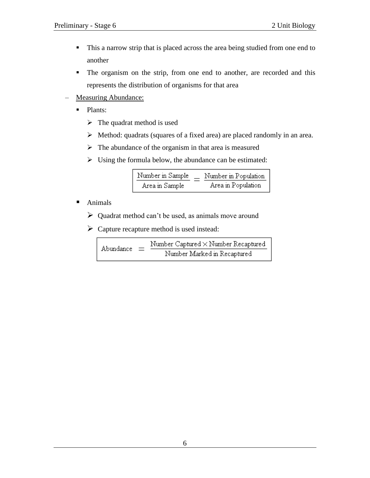- This a narrow strip that is placed across the area being studied from one end to another
- The organism on the strip, from one end to another, are recorded and this represents the distribution of organisms for that area
- Measuring Abundance:
	- Plants:
		- $\triangleright$  The quadrat method is used
		- Method: quadrats (squares of a fixed area) are placed randomly in an area.
		- $\triangleright$  The abundance of the organism in that area is measured
		- $\triangleright$  Using the formula below, the abundance can be estimated:

| Number in Sample | Number in Population |
|------------------|----------------------|
| Area in Sample   | Area in Population   |

- **Animals** 
	- $\triangleright$  Quadrat method can't be used, as animals move around
	- $\triangleright$  Capture recapture method is used instead:

Number Captured × Number Recaptured  $Abundance =$ Number Marked in Recaptured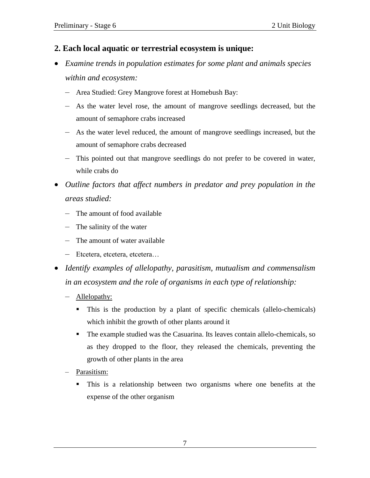## **2. Each local aquatic or terrestrial ecosystem is unique:**

- *Examine trends in population estimates for some plant and animals species within and ecosystem:*
	- Area Studied: Grey Mangrove forest at Homebush Bay:
	- As the water level rose, the amount of mangrove seedlings decreased, but the amount of semaphore crabs increased
	- As the water level reduced, the amount of mangrove seedlings increased, but the amount of semaphore crabs decreased
	- This pointed out that mangrove seedlings do not prefer to be covered in water, while crabs do
- *Outline factors that affect numbers in predator and prey population in the areas studied:*
	- The amount of food available
	- The salinity of the water
	- The amount of water available
	- Etcetera, etcetera, etcetera…
- *Identify examples of allelopathy, parasitism, mutualism and commensalism in an ecosystem and the role of organisms in each type of relationship:*
	- Allelopathy:
		- This is the production by a plant of specific chemicals (allelo-chemicals) which inhibit the growth of other plants around it
		- The example studied was the Casuarina. Its leaves contain allelo-chemicals, so as they dropped to the floor, they released the chemicals, preventing the growth of other plants in the area
	- Parasitism:
		- This is a relationship between two organisms where one benefits at the expense of the other organism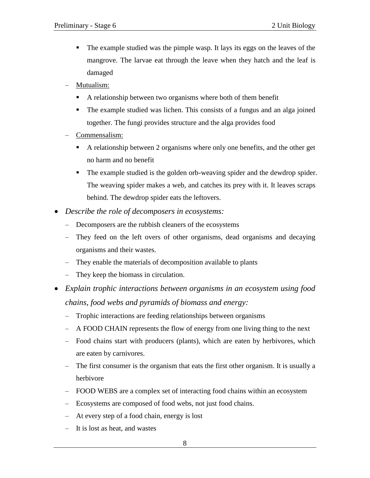- The example studied was the pimple wasp. It lays its eggs on the leaves of the mangrove. The larvae eat through the leave when they hatch and the leaf is damaged
- Mutualism:
	- A relationship between two organisms where both of them benefit
	- The example studied was lichen. This consists of a fungus and an alga joined together. The fungi provides structure and the alga provides food
- Commensalism:
	- A relationship between 2 organisms where only one benefits, and the other get no harm and no benefit
	- The example studied is the golden orb-weaving spider and the dewdrop spider. The weaving spider makes a web, and catches its prey with it. It leaves scraps behind. The dewdrop spider eats the leftovers.
- *Describe the role of decomposers in ecosystems:*
	- Decomposers are the rubbish cleaners of the ecosystems
	- They feed on the left overs of other organisms, dead organisms and decaying organisms and their wastes.
	- They enable the materials of decomposition available to plants
	- They keep the biomass in circulation.
- *Explain trophic interactions between organisms in an ecosystem using food chains, food webs and pyramids of biomass and energy:*
	- Trophic interactions are feeding relationships between organisms
	- A FOOD CHAIN represents the flow of energy from one living thing to the next
	- Food chains start with producers (plants), which are eaten by herbivores, which are eaten by carnivores.
	- The first consumer is the organism that eats the first other organism. It is usually a herbivore
	- FOOD WEBS are a complex set of interacting food chains within an ecosystem
	- Ecosystems are composed of food webs, not just food chains.
	- At every step of a food chain, energy is lost
	- It is lost as heat, and wastes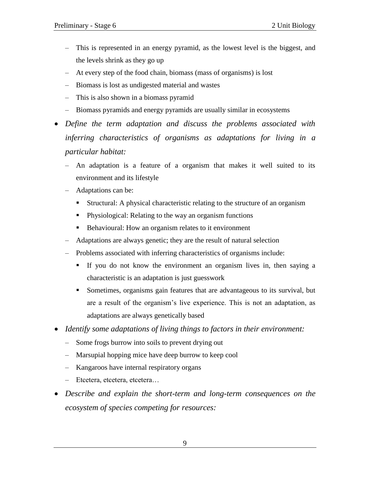- This is represented in an energy pyramid, as the lowest level is the biggest, and the levels shrink as they go up
- At every step of the food chain, biomass (mass of organisms) is lost
- Biomass is lost as undigested material and wastes
- This is also shown in a biomass pyramid
- Biomass pyramids and energy pyramids are usually similar in ecosystems
- *Define the term adaptation and discuss the problems associated with inferring characteristics of organisms as adaptations for living in a particular habitat:*
	- An adaptation is a feature of a organism that makes it well suited to its environment and its lifestyle
	- Adaptations can be:
		- Structural: A physical characteristic relating to the structure of an organism
		- **Physiological: Relating to the way an organism functions**
		- Behavioural: How an organism relates to it environment
	- Adaptations are always genetic; they are the result of natural selection
	- Problems associated with inferring characteristics of organisms include:
		- If you do not know the environment an organism lives in, then saying a characteristic is an adaptation is just guesswork
		- Sometimes, organisms gain features that are advantageous to its survival, but are a result of the organism's live experience. This is not an adaptation, as adaptations are always genetically based
- *Identify some adaptations of living things to factors in their environment:*
	- Some frogs burrow into soils to prevent drying out
	- Marsupial hopping mice have deep burrow to keep cool
	- Kangaroos have internal respiratory organs
	- Etcetera, etcetera, etcetera…
- *Describe and explain the short-term and long-term consequences on the ecosystem of species competing for resources:*